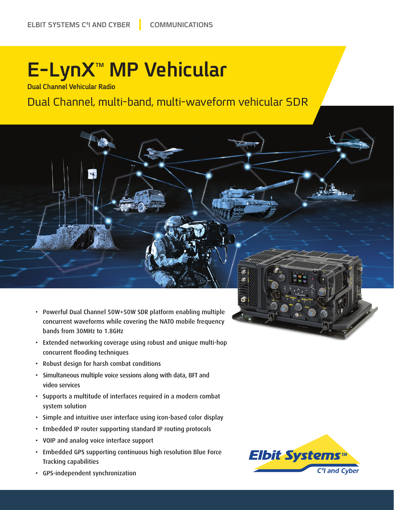# **E-LynX<sup>™</sup> MP Vehicular**

**Dual Channel Vehicular Radio** 

### Dual Channel, multi-band, multi-waveform vehicular SDR

- Powerful Dual Channel 50W+50W SDR platform enabling multiple concurrent waveforms while covering the NATO mobile frequency bands from 30MHz to 1.8 GHz
- Extended networking coverage using robust and unique multi-hop concurrent flooding techniques
- Robust design for harsh combat conditions
- Simultaneous multiple voice sessions along with data, BFT and video services
- Supports a multitude of interfaces required in a modern combat system solution
- Simple and intuitive user interface using icon-based color display
- Embedded IP router supporting standard IP routing protocols
- VOIP and analog voice interface support
- Embedded GPS supporting continuous high resolution Blue Force Tracking capabilities



 $\bullet$ 

đ

• GPS-independent synchronization